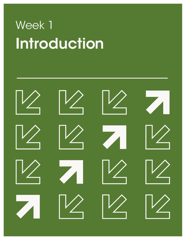# Introduction Week 1

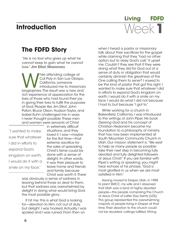## **Introduction**



# **The FDFD Story**

"He is no fool who gives up what he cannot keep to gain what he cannot lose." Jim Elliot, Missionary

Maile attending college at<br>
Cal Poly in San Luis Obispo,<br>
California, someone<br>
introduced me to missionar<br>
biographies. The result was a new and Cal Poly in San Luis Obispo, California, someone introduced me to missionary rich experience of appreciation for the lives of those who had found their joy in giving their lives to fulfill the purposes of God. People like Jim Elliot, John Paton, Bruce Olson, Hudson Taylor, and Isabel Kuhn challenged me in ways I never thought possible. These men and women were servants of Christ

"I wanted to make sure that whatever I did in efforts to expand God's kingdom on earth, I would do it with a smile on my face."

in extremely difficult situations, and they loved it. I saw—maybe for the first time—that extreme sacrifice for the sake of spreading Christ's fame could be done with a sense of delight. In other words, it was their pleasure to leave home and friends and family because Christ was worth it. There

was obviously a sense of sadness in leaving behind those so dear to them, but that sadness was overwhelmed by delight in doing what would bring God the most possible glory.

It hit me: this is what God is looking for—devotion to Him, not out of duty, but delight. I was hooked. Actually, I was spoiled and I was ruined. From then on

when I heard a pastor or missionary talk about their sacrifices for the gospel while claiming that they "had no other option but to obey God's call," it upset me. Couldn't they see that if they were doing what they did for God out of a sense of duty or obligation that would certainly diminish the greatness of the One calling them to serve? I vowed to be the kind of pastor that got this right. I wanted to make sure that whatever I did in efforts to expand God's kingdom on earth, I would do it with a smile on my face. I would do what I did not because I had to, but because "I got to."

While working for a church in Bakersfield, California, I was introduced to the writings of John Piper. His book *Desiring God* and his concept of Christian Hedonism became my foundation to a philosophy of ministry that has now been implemented at South Mountain Community Church in Utah. Our mission statement is: "We exist to help as many people as possible take their next step in becoming fully devoted and fully delighted followers of Jesus Christ." If you are familiar with Piper's writing or speaking, you might hear echoes of his phrase, "God is most glorified in us when we are most satisfied in Him."

Having moved to Draper, Utah, in 1998 to plant SMCC, my wife and I observed that Utah was a land of highly devoted people—the people comprising The Church of Jesus Christ of Latter Day Saints (LDS). This group represented the overwhelming majority of people living in Draper at that time. Their devotion to the church could not be doubted: callings fulfilled, tithing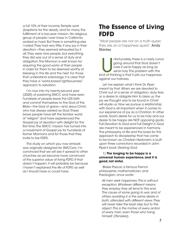a full 10% of their income, Temple work (baptisms for the dead), and for many, the ful fillment of a two-year mission. No religious group of people I ever knew in California worked so hard. But there is something else I noted. They had very little, if any, joy in their devotion—they seemed exhausted by it all. They were nice people, but everything they did was out of a sense of duty and obligation. The Mormon is well known for requiring the good works of their people in order for them to be deemed worthy of blessing in this life and the next. For those that understand *soteriology*, it is clear that they have a "works-based righteousness" approach to salvation.

I'm now into my twenty-second year (2020) of pastoring SMCC and have seen hundreds of people leave the LDS faith and commit themselves to the God of the Bible—the God of grace—and Jesus Christ, who has always existed as God. These brave people have left the familiar world of "religion" and have experienced the Gospel joy of devotion with delight for the first time. The SMCC mission has turned into a movement of Gospel joy for hundreds of former Mormons and for those that they invite to live FDFD.

The study on which you now embark was originally designed for SMCCers. I'm convinced that we will see it spread to other churches as we become more convinced of the superior value of living FDFD. If that doesn't happen, it will probably be because I haven't explained the life of FDFD as well as I should have or could have.

## **The Essence of Living FDFD**

"Most people are not on a truth quest; they are on a happiness quest." **Andy Stanley** 

Infortunately, there is a nasty rumor<br>
going around that God doesn't<br>
care if we're happy as long as<br>
we're holy. The problem with this<br>
kind of thinking is that it pits our happiness going around that God doesn't care if we're happy as long as we're holy. The problem with this against our holiness.

Let me explain what I think Dr. Piper meant by that. When we are devoted to Christ out of a sense of obligation, duty, fear, or a desire to obligate Him to bless us, the joy we thought was to be found in Christ will elude us. How we pursue a relationship with God is all important when it comes to our experience of joy as a Christian. In other words, God's desire for us to be holy and our desire to be happy are NOT opposing goals. Full Devotion to God and Full Delight in God are meant to be experienced in harmony. The philosophy of life and the basis for this approach to discipleship that has come to be known as *Christian Hedonism*, is built upon three convictions recorded in John Piper's book *Desiring God*.

#### 1) **The longing to be happy is a universal human experience, and it is good, not sinful.**

Blaise Pascal, a famous French philosopher, mathematician, and theologian, once wrote:

*All men seek happiness. This is without exception. Whatever different means they employ, they all tend to this end. The cause of some going to war, and of others avoiding it, is the same desire in both, attended with different views. They will never take the least step but to this object. This is the motive of every action of every man, even those who hang himself.* (*Pensées*).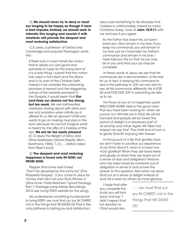2) **We should never try to deny or resist our longing to be happy, as though it were a bad impulse. Instead, we should seek to intensify this longing and nourish it with whatever will provide the deepest and most enduring satisfaction.**

C.S. Lewis, a professor at Oxford and Cambridge and popular theologian wrote this:

*If there lurks in most minds the notion that to desire our own good and earnestly to hope for the enjoyment of it is a bad thing, I submit that this notion has crept in from Kant and the Stoics and is no part of the Christian faith. Indeed, if we consider the unblushing promises of reward and the staggering nature of the rewards promised in the Gospels, it would seem that Our Lord* **!***nds our desires not too strong, but too weak. We are half-hearted creatures, fooling about with drink and sex and ambition when in*!*nite joy is offered to us, like an ignorant child who wants to go on making mud pies in the slum because he cannot imagine what is meant by the offer of a holiday at the sea. We are far too easily pleased.* (C. S. Lewis, The Weight of Glory and Other Addresses [Grand Rapids, Mich.: Eerdmans, 1965], 1–2.)… citation taken from Piper's book

#### 3) **The deepest and most enduring happiness is found only IN GOD; not FROM GOD.**

Rapper Shai Linne said it best: "Don't be deceived by this funny biz "(The Prosperity Gospel)", if you come to Jesus for money, then He's not your God, Money is" (Shai Linne. "False Teachers." Lyrical Theology, Part 1: Theology, Lamp Mode Recordings, 2013–see Living FDFD website for the song).

He understands something fundamental to living FDFD: we must find our joy IN CHRIST, not in the things that HE GIVES US. That is the only pathway to lasting joy and satisfaction.

Jesus said something to His disciples that I believe is, unfortunately, missed by many Christians today. Look at **John 15:9-11** with me and see if you agree:

*As the Father has loved me, so have I loved you. Now remain in my love. If you keep my commands, you will remain in my love, just as I have kept my Father's commands and remain in his love. I have told you this so that my joy may be in you and that your joy may be complete.*

In these words of Jesus, we see that His commands are a demonstration of His love for us. In fact, if obeying His command to love is the pathway to JOY, we can start to see all His commands differently. He is FOR US and FOR OUR JOY in everything He tells us to do.

For those of you on a happiness quest, WELCOME HOME. Here is the good news that you have been looking for: when we pursue our ultimate joy in God, He will be honored and people will be loved. The pursuit of delight is a necessary part of all worship and virtue. Again, Mr. Piper has helped me see that "The chief end of man is to glorify God BY enjoying Him forever."

In the pursuit of a life that glorifies God, we don't have to sacrifice our experience of joy. Think about it, when is a loved one most glorified? When they are loved freely and gladly, or when they are loved out of a sense of duty and obligation? Anyone who has been loved by someone out of obligation or sense of duty, knows the answer to this question. Also when we serve God out of a sense of delight instead of duty, He is seen by others as more glorious.

I hope that after you complete this study you will look back and say, "I didn't expect that full devotion to Christ would also

"... we must find our joy IN CHRIST, not in the things that HE GIVES US."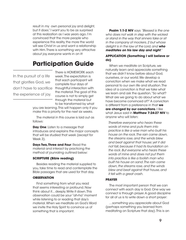result in my own personal joy and delight, but it does." I want you to be as surprised at this realization as I was years ago. I'm convinced that the more people who experience this reality, the more the world will see Christ in us and want a relationship with Him. There is something very attractive about joy, everyone wants in on it!

# **Participation Guide**

In the pursuit of a life that glorifies God, we don't have to sacrifice the experience of joy.

There is HOMEWORK each week. The expectation is that each participant will complete four days of thoughtful interaction with the material. The goal of this course is not to simply get through the material but to be transformed by what

you are learning. This will happen only if you make this a priority for the next six weeks.

The material in this course is laid out as follows:

**Day One:** Listen to a message that introduces and explains the major concepts that will be studied that week (except for Week 3).

**Days Two, Three and Four: Read the** material and interact by practicing the method of jounraling outlined below:

#### **SCRIPTURE (Bible reading)**

Besides reading the material supplied to you, take time to read and contemplate the Bible passages that are used for that day.

#### **OBSERVATION**

Find something from what you read that seems interesting or profound. Now think about it... deeply. Write it down. This observation could be your "ah-ha" moment while listening to or reading that day's material. When we meditate on God's Word we invite the Holy Spirit to convince us of something that is important.

**Psalm 1:1-2 NIV** says *"Blessed is the one who does not walk in step with the wicked or stand in the way that sinners take or sit in the company of mockers, 2 but whose delight is in the law of the Lord, and who meditates on his law day and night."*

#### **APPLICATION (Something I will believe or do)**

When we meditate on Scripture, we naturally learn and appreciate something that we didn't know before about God, ourselves, or our world. We develop a conviction when we make what we read personal to our own life and situation. The idea of a conviction is that we take what we learn and ask the question, "So what? What are we going to do about what we have become convinced of?" A conviction is different from a preference in that **we are changed by our convictions**. I like what Jesus said in **Matthew 7:24-27 NIV** to anyone who will listen:

*Therefore everyone who hears these words of mine and puts them into practice is like a wise man who built his house on the rock. The rain came down, the streams rose, and the winds blew and beat against that house; yet it did not fall, because it had its foundation on the rock. But everyone who hears these words of mine and does not put them into practice is like a foolish man who built his house on sand. The rain came down, the streams rose, and the winds blew and beat against that house, and it fell with a great crash.*

#### **PRAYER**

The most important person that we can connect with each day is God. One way we connect is through prayer. A good discipline for all of us is to write down a short prayer:

…something you appreciate about God (perhaps something you learned from meditating on Scripture that day). This is an